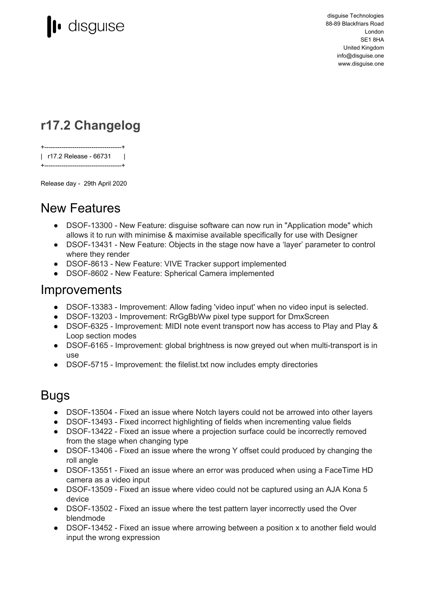

disguise Technologies 88-89 Blackfriars Road London SE1 8HA United Kingdom info@disguise.one www.disguise.one

### **r17.2 Changelog**

+------------------------------------+ | r17.2 Release - 66731 | +------------------------------------+

Release day - 29th April 2020

### New Features

- DSOF-13300 New Feature: disquise software can now run in "Application mode" which allows it to run with minimise & maximise available specifically for use with Designer
- DSOF-13431 New Feature: Objects in the stage now have a 'layer' parameter to control where they render
- DSOF-8613 New Feature: VIVE Tracker support implemented
- DSOF-8602 New Feature: Spherical Camera implemented

#### Improvements

- DSOF-13383 Improvement: Allow fading 'video input' when no video input is selected.
- DSOF-13203 Improvement: RrGgBbWw pixel type support for DmxScreen
- DSOF-6325 Improvement: MIDI note event transport now has access to Play and Play & Loop section modes
- DSOF-6165 Improvement: global brightness is now greyed out when multi-transport is in use
- DSOF-5715 Improvement: the filelist.txt now includes empty directories

#### Bugs

- DSOF-13504 Fixed an issue where Notch layers could not be arrowed into other layers
- DSOF-13493 Fixed incorrect highlighting of fields when incrementing value fields
- DSOF-13422 Fixed an issue where a projection surface could be incorrectly removed from the stage when changing type
- DSOF-13406 Fixed an issue where the wrong Y offset could produced by changing the roll angle
- DSOF-13551 Fixed an issue where an error was produced when using a FaceTime HD camera as a video input
- DSOF-13509 Fixed an issue where video could not be captured using an AJA Kona 5 device
- DSOF-13502 Fixed an issue where the test pattern layer incorrectly used the Over blendmode
- DSOF-13452 Fixed an issue where arrowing between a position x to another field would input the wrong expression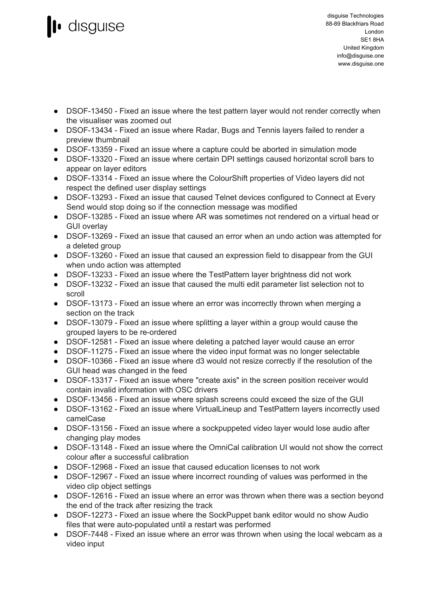# **disguise**

- DSOF-13450 Fixed an issue where the test pattern layer would not render correctly when the visualiser was zoomed out
- DSOF-13434 Fixed an issue where Radar, Bugs and Tennis layers failed to render a preview thumbnail
- DSOF-13359 Fixed an issue where a capture could be aborted in simulation mode
- DSOF-13320 Fixed an issue where certain DPI settings caused horizontal scroll bars to appear on layer editors
- DSOF-13314 Fixed an issue where the ColourShift properties of Video layers did not respect the defined user display settings
- DSOF-13293 Fixed an issue that caused Telnet devices configured to Connect at Every Send would stop doing so if the connection message was modified
- DSOF-13285 Fixed an issue where AR was sometimes not rendered on a virtual head or GUI overlay
- DSOF-13269 Fixed an issue that caused an error when an undo action was attempted for a deleted group
- DSOF-13260 Fixed an issue that caused an expression field to disappear from the GUI when undo action was attempted
- DSOF-13233 Fixed an issue where the TestPattern layer brightness did not work
- DSOF-13232 Fixed an issue that caused the multi edit parameter list selection not to scroll
- DSOF-13173 Fixed an issue where an error was incorrectly thrown when merging a section on the track
- DSOF-13079 Fixed an issue where splitting a layer within a group would cause the grouped layers to be re-ordered
- DSOF-12581 Fixed an issue where deleting a patched layer would cause an error
- DSOF-11275 Fixed an issue where the video input format was no longer selectable
- DSOF-10366 Fixed an issue where d3 would not resize correctly if the resolution of the GUI head was changed in the feed
- DSOF-13317 Fixed an issue where "create axis" in the screen position receiver would contain invalid information with OSC drivers
- DSOF-13456 Fixed an issue where splash screens could exceed the size of the GUI
- DSOF-13162 Fixed an issue where VirtualLineup and TestPattern layers incorrectly used camelCase
- DSOF-13156 Fixed an issue where a sockpuppeted video layer would lose audio after changing play modes
- DSOF-13148 Fixed an issue where the OmniCal calibration UI would not show the correct colour after a successful calibration
- DSOF-12968 Fixed an issue that caused education licenses to not work
- DSOF-12967 Fixed an issue where incorrect rounding of values was performed in the video clip object settings
- DSOF-12616 Fixed an issue where an error was thrown when there was a section beyond the end of the track after resizing the track
- DSOF-12273 Fixed an issue where the SockPuppet bank editor would no show Audio files that were auto-populated until a restart was performed
- DSOF-7448 Fixed an issue where an error was thrown when using the local webcam as a video input